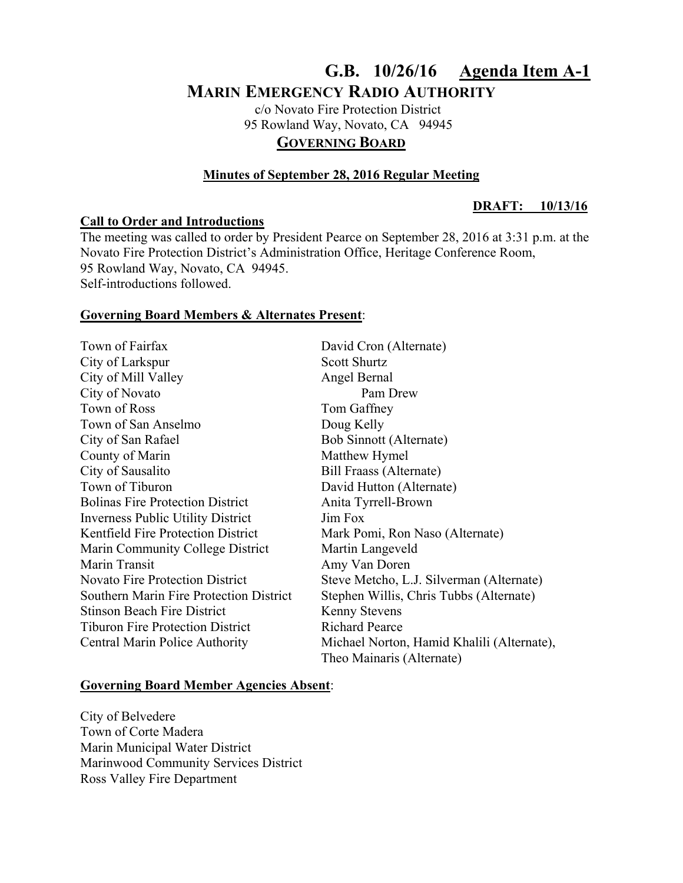# **G.B. 10/26/16 Agenda Item A-1 MARIN EMERGENCY RADIO AUTHORITY**

 c/o Novato Fire Protection District 95 Rowland Way, Novato, CA 94945 **GOVERNING BOARD**

# **Minutes of September 28, 2016 Regular Meeting**

# **Call to Order and Introductions**

#### **DRAFT: 10/13/16**

The meeting was called to order by President Pearce on September 28, 2016 at 3:31 p.m. at the Novato Fire Protection District's Administration Office, Heritage Conference Room, 95 Rowland Way, Novato, CA 94945. Self-introductions followed.

### **Governing Board Members & Alternates Present**:

Town of Fairfax David Cron (Alternate) City of Larkspur Scott Shurtz City of Mill Valley Angel Bernal City of Novato Pam Drew Town of Ross Tom Gaffney Town of San Anselmo<br>
Doug Kelly City of San Rafael Bob Sinnott (Alternate) County of Marin Matthew Hymel City of Sausalito Bill Fraass (Alternate) Town of Tiburon David Hutton (Alternate) Bolinas Fire Protection District Anita Tyrrell-Brown Inverness Public Utility District Jim Fox Kentfield Fire Protection District Mark Pomi, Ron Naso (Alternate) Marin Community College District Martin Langeveld Marin Transit Amy Van Doren Novato Fire Protection District Steve Metcho, L.J. Silverman (Alternate) Southern Marin Fire Protection District Stephen Willis, Chris Tubbs (Alternate) Stinson Beach Fire District Kenny Stevens Tiburon Fire Protection District Richard Pearce Central Marin Police Authority Michael Norton, Hamid Khalili (Alternate), Theo Mainaris (Alternate)

# **Governing Board Member Agencies Absent**:

City of Belvedere Town of Corte Madera Marin Municipal Water District Marinwood Community Services District Ross Valley Fire Department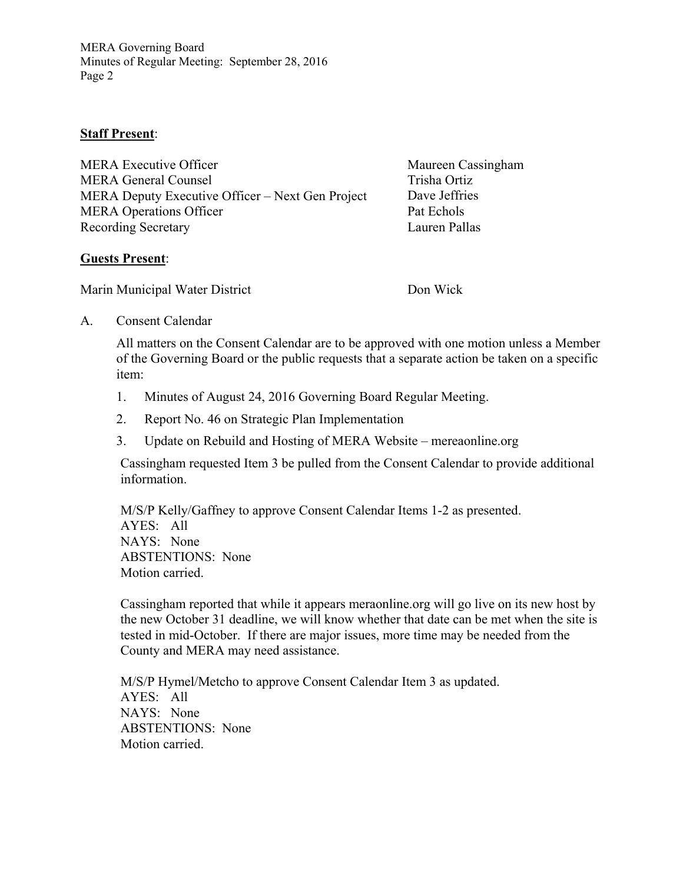MERA Governing Board Minutes of Regular Meeting: September 28, 2016 Page 2

# **Staff Present**:

| <b>MERA Executive Officer</b>                    | Maureen Cassingham |
|--------------------------------------------------|--------------------|
| <b>MERA General Counsel</b>                      | Trisha Ortiz       |
| MERA Deputy Executive Officer – Next Gen Project | Dave Jeffries      |
| <b>MERA Operations Officer</b>                   | Pat Echols         |
| <b>Recording Secretary</b>                       | Lauren Pallas      |

### **Guests Present**:

Marin Municipal Water District Don Wick

A. Consent Calendar

All matters on the Consent Calendar are to be approved with one motion unless a Member of the Governing Board or the public requests that a separate action be taken on a specific item:

- 1. Minutes of August 24, 2016 Governing Board Regular Meeting.
- 2. Report No. 46 on Strategic Plan Implementation
- 3. Update on Rebuild and Hosting of MERA Website mereaonline.org

Cassingham requested Item 3 be pulled from the Consent Calendar to provide additional information.

M/S/P Kelly/Gaffney to approve Consent Calendar Items 1-2 as presented. AYES: All NAYS: None ABSTENTIONS: None Motion carried.

 Cassingham reported that while it appears meraonline.org will go live on its new host by the new October 31 deadline, we will know whether that date can be met when the site is tested in mid-October. If there are major issues, more time may be needed from the County and MERA may need assistance.

M/S/P Hymel/Metcho to approve Consent Calendar Item 3 as updated. AYES: All NAYS: None ABSTENTIONS: None Motion carried.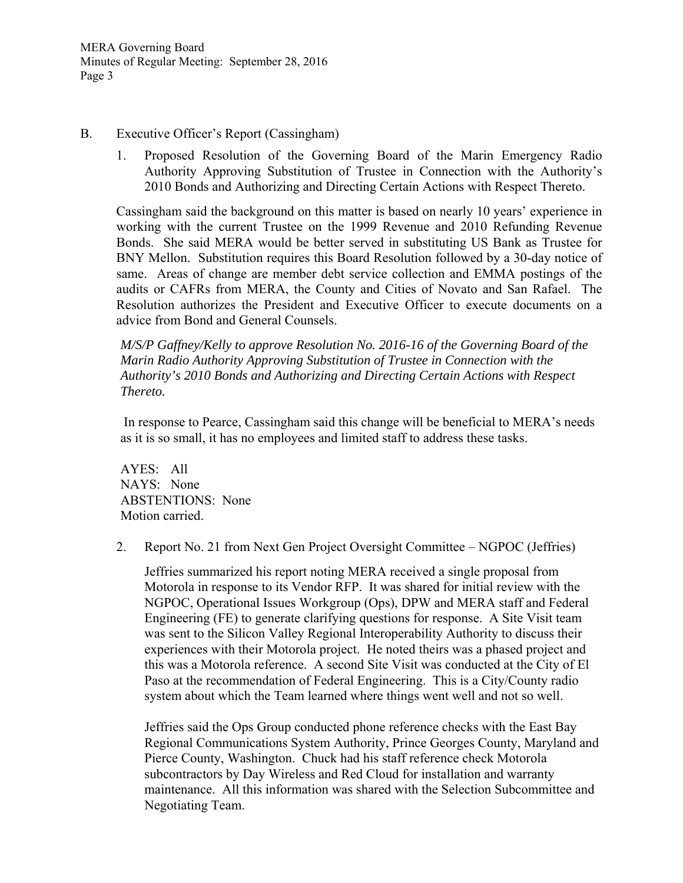# B. Executive Officer's Report (Cassingham)

1. Proposed Resolution of the Governing Board of the Marin Emergency Radio Authority Approving Substitution of Trustee in Connection with the Authority's 2010 Bonds and Authorizing and Directing Certain Actions with Respect Thereto.

Cassingham said the background on this matter is based on nearly 10 years' experience in working with the current Trustee on the 1999 Revenue and 2010 Refunding Revenue Bonds. She said MERA would be better served in substituting US Bank as Trustee for BNY Mellon. Substitution requires this Board Resolution followed by a 30-day notice of same. Areas of change are member debt service collection and EMMA postings of the audits or CAFRs from MERA, the County and Cities of Novato and San Rafael. The Resolution authorizes the President and Executive Officer to execute documents on a advice from Bond and General Counsels.

 *M/S/P Gaffney/Kelly to approve Resolution No. 2016-16 of the Governing Board of the Marin Radio Authority Approving Substitution of Trustee in Connection with the Authority's 2010 Bonds and Authorizing and Directing Certain Actions with Respect Thereto.* 

In response to Pearce, Cassingham said this change will be beneficial to MERA's needs as it is so small, it has no employees and limited staff to address these tasks.

AYES: All NAYS: None ABSTENTIONS: None Motion carried.

2. Report No. 21 from Next Gen Project Oversight Committee – NGPOC (Jeffries)

Jeffries summarized his report noting MERA received a single proposal from Motorola in response to its Vendor RFP. It was shared for initial review with the NGPOC, Operational Issues Workgroup (Ops), DPW and MERA staff and Federal Engineering (FE) to generate clarifying questions for response. A Site Visit team was sent to the Silicon Valley Regional Interoperability Authority to discuss their experiences with their Motorola project. He noted theirs was a phased project and this was a Motorola reference. A second Site Visit was conducted at the City of El Paso at the recommendation of Federal Engineering. This is a City/County radio system about which the Team learned where things went well and not so well.

Jeffries said the Ops Group conducted phone reference checks with the East Bay Regional Communications System Authority, Prince Georges County, Maryland and Pierce County, Washington. Chuck had his staff reference check Motorola subcontractors by Day Wireless and Red Cloud for installation and warranty maintenance. All this information was shared with the Selection Subcommittee and Negotiating Team.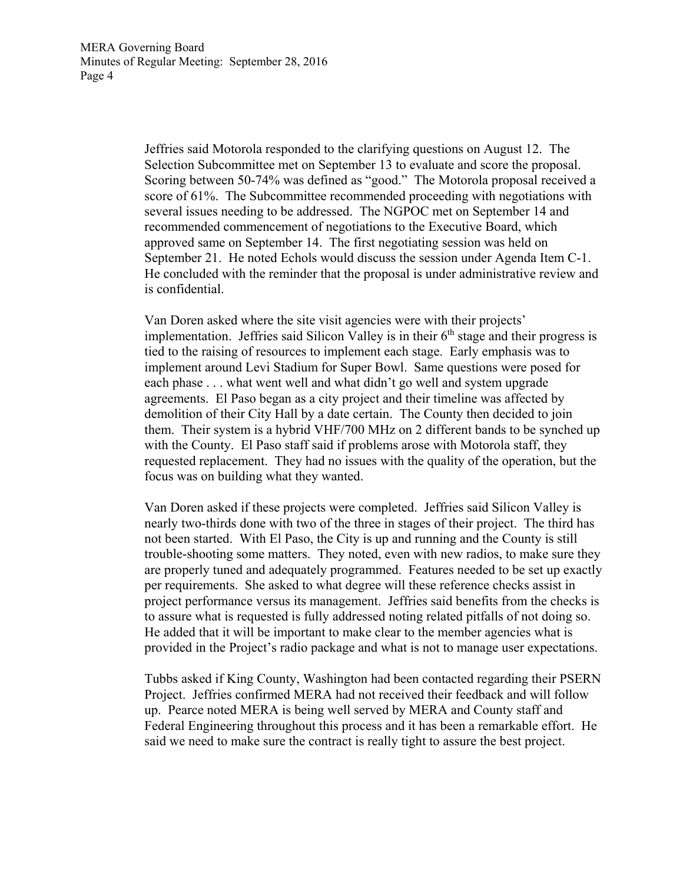Jeffries said Motorola responded to the clarifying questions on August 12. The Selection Subcommittee met on September 13 to evaluate and score the proposal. Scoring between 50-74% was defined as "good." The Motorola proposal received a score of 61%. The Subcommittee recommended proceeding with negotiations with several issues needing to be addressed. The NGPOC met on September 14 and recommended commencement of negotiations to the Executive Board, which approved same on September 14. The first negotiating session was held on September 21. He noted Echols would discuss the session under Agenda Item C-1. He concluded with the reminder that the proposal is under administrative review and is confidential.

Van Doren asked where the site visit agencies were with their projects' implementation. Jeffries said Silicon Valley is in their  $6<sup>th</sup>$  stage and their progress is tied to the raising of resources to implement each stage. Early emphasis was to implement around Levi Stadium for Super Bowl. Same questions were posed for each phase . . . what went well and what didn't go well and system upgrade agreements. El Paso began as a city project and their timeline was affected by demolition of their City Hall by a date certain. The County then decided to join them. Their system is a hybrid VHF/700 MHz on 2 different bands to be synched up with the County. El Paso staff said if problems arose with Motorola staff, they requested replacement. They had no issues with the quality of the operation, but the focus was on building what they wanted.

Van Doren asked if these projects were completed. Jeffries said Silicon Valley is nearly two-thirds done with two of the three in stages of their project. The third has not been started. With El Paso, the City is up and running and the County is still trouble-shooting some matters. They noted, even with new radios, to make sure they are properly tuned and adequately programmed. Features needed to be set up exactly per requirements. She asked to what degree will these reference checks assist in project performance versus its management. Jeffries said benefits from the checks is to assure what is requested is fully addressed noting related pitfalls of not doing so. He added that it will be important to make clear to the member agencies what is provided in the Project's radio package and what is not to manage user expectations.

Tubbs asked if King County, Washington had been contacted regarding their PSERN Project. Jeffries confirmed MERA had not received their feedback and will follow up. Pearce noted MERA is being well served by MERA and County staff and Federal Engineering throughout this process and it has been a remarkable effort. He said we need to make sure the contract is really tight to assure the best project.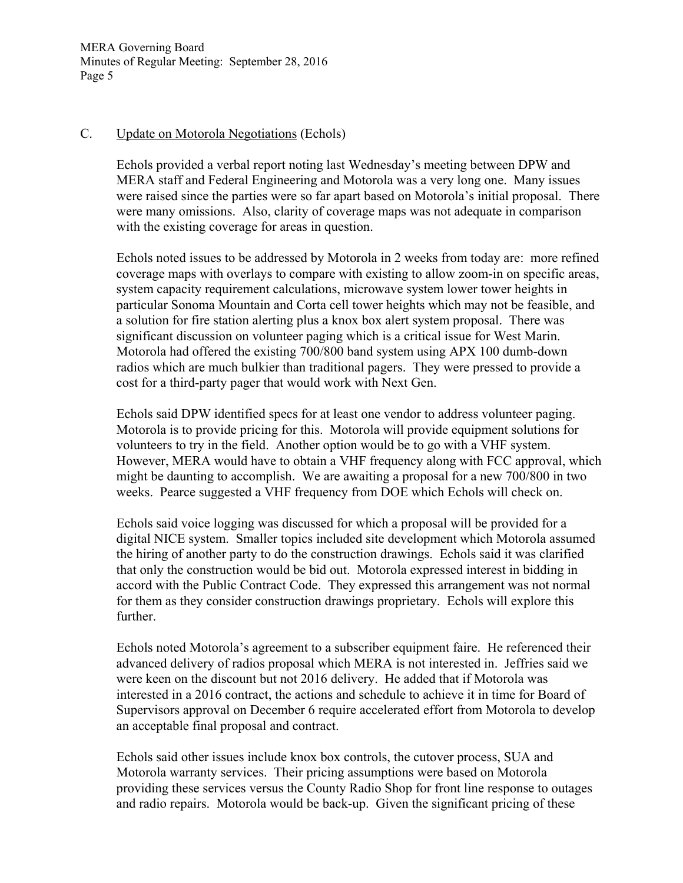MERA Governing Board Minutes of Regular Meeting: September 28, 2016 Page 5

# C. Update on Motorola Negotiations (Echols)

Echols provided a verbal report noting last Wednesday's meeting between DPW and MERA staff and Federal Engineering and Motorola was a very long one. Many issues were raised since the parties were so far apart based on Motorola's initial proposal. There were many omissions. Also, clarity of coverage maps was not adequate in comparison with the existing coverage for areas in question.

Echols noted issues to be addressed by Motorola in 2 weeks from today are: more refined coverage maps with overlays to compare with existing to allow zoom-in on specific areas, system capacity requirement calculations, microwave system lower tower heights in particular Sonoma Mountain and Corta cell tower heights which may not be feasible, and a solution for fire station alerting plus a knox box alert system proposal. There was significant discussion on volunteer paging which is a critical issue for West Marin. Motorola had offered the existing 700/800 band system using APX 100 dumb-down radios which are much bulkier than traditional pagers. They were pressed to provide a cost for a third-party pager that would work with Next Gen.

Echols said DPW identified specs for at least one vendor to address volunteer paging. Motorola is to provide pricing for this. Motorola will provide equipment solutions for volunteers to try in the field. Another option would be to go with a VHF system. However, MERA would have to obtain a VHF frequency along with FCC approval, which might be daunting to accomplish. We are awaiting a proposal for a new 700/800 in two weeks. Pearce suggested a VHF frequency from DOE which Echols will check on.

Echols said voice logging was discussed for which a proposal will be provided for a digital NICE system. Smaller topics included site development which Motorola assumed the hiring of another party to do the construction drawings. Echols said it was clarified that only the construction would be bid out. Motorola expressed interest in bidding in accord with the Public Contract Code. They expressed this arrangement was not normal for them as they consider construction drawings proprietary. Echols will explore this further.

Echols noted Motorola's agreement to a subscriber equipment faire. He referenced their advanced delivery of radios proposal which MERA is not interested in. Jeffries said we were keen on the discount but not 2016 delivery. He added that if Motorola was interested in a 2016 contract, the actions and schedule to achieve it in time for Board of Supervisors approval on December 6 require accelerated effort from Motorola to develop an acceptable final proposal and contract.

Echols said other issues include knox box controls, the cutover process, SUA and Motorola warranty services. Their pricing assumptions were based on Motorola providing these services versus the County Radio Shop for front line response to outages and radio repairs. Motorola would be back-up. Given the significant pricing of these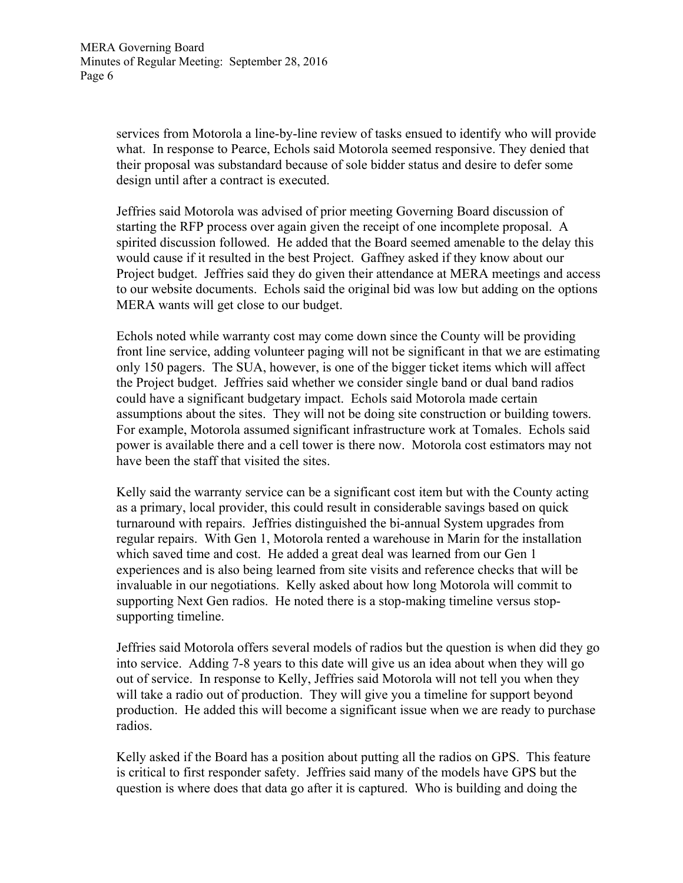services from Motorola a line-by-line review of tasks ensued to identify who will provide what. In response to Pearce, Echols said Motorola seemed responsive. They denied that their proposal was substandard because of sole bidder status and desire to defer some design until after a contract is executed.

Jeffries said Motorola was advised of prior meeting Governing Board discussion of starting the RFP process over again given the receipt of one incomplete proposal. A spirited discussion followed. He added that the Board seemed amenable to the delay this would cause if it resulted in the best Project. Gaffney asked if they know about our Project budget. Jeffries said they do given their attendance at MERA meetings and access to our website documents. Echols said the original bid was low but adding on the options MERA wants will get close to our budget.

Echols noted while warranty cost may come down since the County will be providing front line service, adding volunteer paging will not be significant in that we are estimating only 150 pagers. The SUA, however, is one of the bigger ticket items which will affect the Project budget. Jeffries said whether we consider single band or dual band radios could have a significant budgetary impact. Echols said Motorola made certain assumptions about the sites. They will not be doing site construction or building towers. For example, Motorola assumed significant infrastructure work at Tomales. Echols said power is available there and a cell tower is there now. Motorola cost estimators may not have been the staff that visited the sites.

Kelly said the warranty service can be a significant cost item but with the County acting as a primary, local provider, this could result in considerable savings based on quick turnaround with repairs. Jeffries distinguished the bi-annual System upgrades from regular repairs. With Gen 1, Motorola rented a warehouse in Marin for the installation which saved time and cost. He added a great deal was learned from our Gen 1 experiences and is also being learned from site visits and reference checks that will be invaluable in our negotiations. Kelly asked about how long Motorola will commit to supporting Next Gen radios. He noted there is a stop-making timeline versus stopsupporting timeline.

Jeffries said Motorola offers several models of radios but the question is when did they go into service. Adding 7-8 years to this date will give us an idea about when they will go out of service. In response to Kelly, Jeffries said Motorola will not tell you when they will take a radio out of production. They will give you a timeline for support beyond production. He added this will become a significant issue when we are ready to purchase radios.

Kelly asked if the Board has a position about putting all the radios on GPS. This feature is critical to first responder safety. Jeffries said many of the models have GPS but the question is where does that data go after it is captured. Who is building and doing the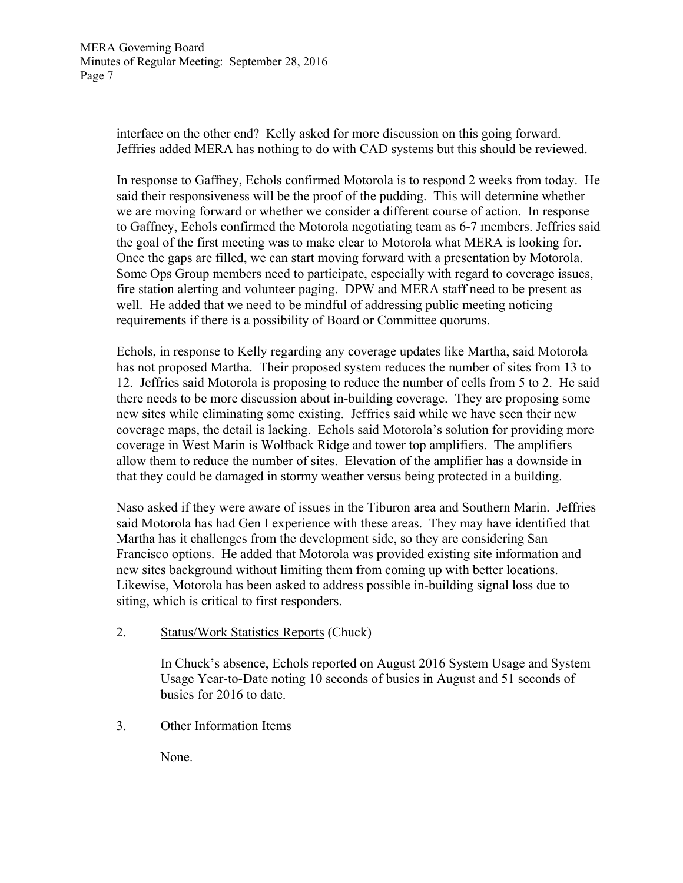interface on the other end? Kelly asked for more discussion on this going forward. Jeffries added MERA has nothing to do with CAD systems but this should be reviewed.

In response to Gaffney, Echols confirmed Motorola is to respond 2 weeks from today. He said their responsiveness will be the proof of the pudding. This will determine whether we are moving forward or whether we consider a different course of action. In response to Gaffney, Echols confirmed the Motorola negotiating team as 6-7 members. Jeffries said the goal of the first meeting was to make clear to Motorola what MERA is looking for. Once the gaps are filled, we can start moving forward with a presentation by Motorola. Some Ops Group members need to participate, especially with regard to coverage issues, fire station alerting and volunteer paging. DPW and MERA staff need to be present as well. He added that we need to be mindful of addressing public meeting noticing requirements if there is a possibility of Board or Committee quorums.

Echols, in response to Kelly regarding any coverage updates like Martha, said Motorola has not proposed Martha. Their proposed system reduces the number of sites from 13 to 12. Jeffries said Motorola is proposing to reduce the number of cells from 5 to 2. He said there needs to be more discussion about in-building coverage. They are proposing some new sites while eliminating some existing. Jeffries said while we have seen their new coverage maps, the detail is lacking. Echols said Motorola's solution for providing more coverage in West Marin is Wolfback Ridge and tower top amplifiers. The amplifiers allow them to reduce the number of sites. Elevation of the amplifier has a downside in that they could be damaged in stormy weather versus being protected in a building.

Naso asked if they were aware of issues in the Tiburon area and Southern Marin. Jeffries said Motorola has had Gen I experience with these areas. They may have identified that Martha has it challenges from the development side, so they are considering San Francisco options. He added that Motorola was provided existing site information and new sites background without limiting them from coming up with better locations. Likewise, Motorola has been asked to address possible in-building signal loss due to siting, which is critical to first responders.

2. Status/Work Statistics Reports (Chuck)

 In Chuck's absence, Echols reported on August 2016 System Usage and System Usage Year-to-Date noting 10 seconds of busies in August and 51 seconds of busies for 2016 to date.

3. Other Information Items

None.